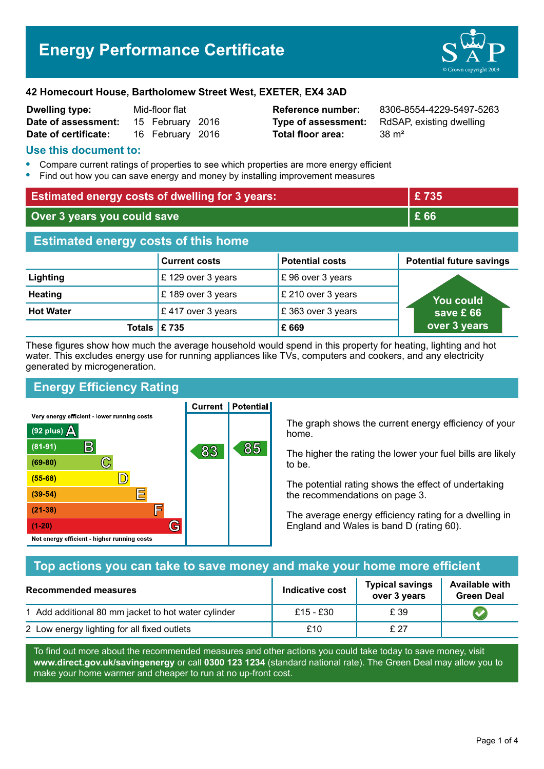

| <b>Dwelling type:</b> | Mid-floor flat |                  |  |
|-----------------------|----------------|------------------|--|
| Date of assessment:   |                | 15 February 2016 |  |
| Date of certificate:  |                | 16 February 2016 |  |

**Total floor area:** 38 m<sup>2</sup>

**Reference number:** 8306-8554-4229-5497-5263 **Type of assessment:** RdSAP, existing dwelling

### **Use this document to:**

- **•** Compare current ratings of properties to see which properties are more energy efficient
- **•** Find out how you can save energy and money by installing improvement measures

| <b>Estimated energy costs of dwelling for 3 years:</b> |                      | £735                   |                                 |
|--------------------------------------------------------|----------------------|------------------------|---------------------------------|
| Over 3 years you could save                            |                      | £ 66                   |                                 |
| <b>Estimated energy costs of this home</b>             |                      |                        |                                 |
|                                                        | <b>Current costs</b> | <b>Potential costs</b> | <b>Potential future savings</b> |
| Lighting                                               | £129 over 3 years    | £96 over 3 years       |                                 |
| <b>Heating</b>                                         | £189 over 3 years    | £ 210 over 3 years     | You could                       |
| <b>Hot Water</b>                                       | £417 over 3 years    | £363 over 3 years      | save £66                        |
| <b>Totals</b>                                          | E 735                | £669                   | over 3 years                    |

These figures show how much the average household would spend in this property for heating, lighting and hot water. This excludes energy use for running appliances like TVs, computers and cookers, and any electricity generated by microgeneration.

**Current | Potential** 

## **Energy Efficiency Rating**

Very energy efficient - lower running costs



The graph shows the current energy efficiency of your home.

The higher the rating the lower your fuel bills are likely to be.

The potential rating shows the effect of undertaking the recommendations on page 3.

The average energy efficiency rating for a dwelling in England and Wales is band D (rating 60).

### **Top actions you can take to save money and make your home more efficient**

| Recommended measures                                | Indicative cost | <b>Typical savings</b><br>over 3 years | <b>Available with</b><br><b>Green Deal</b> |
|-----------------------------------------------------|-----------------|----------------------------------------|--------------------------------------------|
| 1 Add additional 80 mm jacket to hot water cylinder | £15 - £30       | £ 39                                   |                                            |
| 2 Low energy lighting for all fixed outlets         | £10             | £27                                    |                                            |

To find out more about the recommended measures and other actions you could take today to save money, visit **www.direct.gov.uk/savingenergy** or call **0300 123 1234** (standard national rate). The Green Deal may allow you to make your home warmer and cheaper to run at no up-front cost.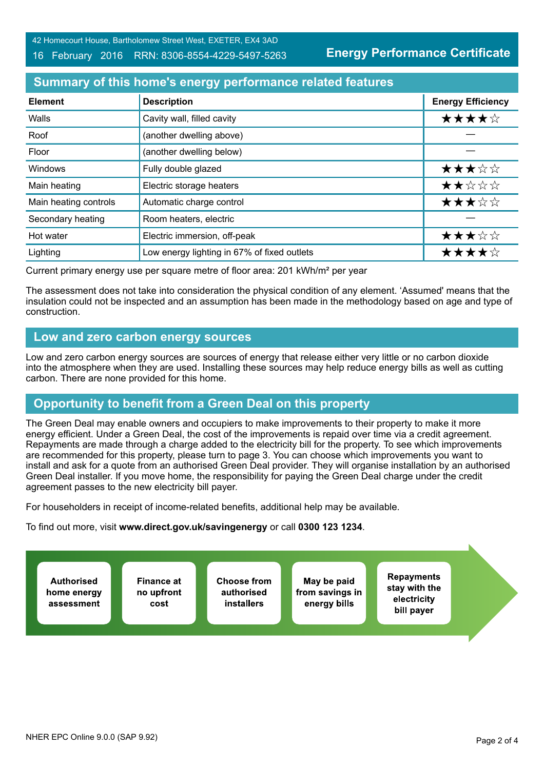#### 16 February 2016 RRN: 8306-8554-4229-5497-5263

**Energy Performance Certificate**

## **Summary of this home's energy performance related features**

| <b>Element</b>        | <b>Description</b>                          | <b>Energy Efficiency</b> |
|-----------------------|---------------------------------------------|--------------------------|
| Walls                 | Cavity wall, filled cavity                  | ★★★★☆                    |
| Roof                  | (another dwelling above)                    |                          |
| Floor                 | (another dwelling below)                    |                          |
| Windows               | Fully double glazed                         | ★★★☆☆                    |
| Main heating          | Electric storage heaters                    | ★★☆☆☆                    |
| Main heating controls | Automatic charge control                    | ★★★☆☆                    |
| Secondary heating     | Room heaters, electric                      |                          |
| Hot water             | Electric immersion, off-peak                | ★★★☆☆                    |
| Lighting              | Low energy lighting in 67% of fixed outlets | ★★★★☆                    |

Current primary energy use per square metre of floor area: 201 kWh/m² per year

The assessment does not take into consideration the physical condition of any element. 'Assumed' means that the insulation could not be inspected and an assumption has been made in the methodology based on age and type of construction.

### **Low and zero carbon energy sources**

Low and zero carbon energy sources are sources of energy that release either very little or no carbon dioxide into the atmosphere when they are used. Installing these sources may help reduce energy bills as well as cutting carbon. There are none provided for this home.

# **Opportunity to benefit from a Green Deal on this property**

The Green Deal may enable owners and occupiers to make improvements to their property to make it more energy efficient. Under a Green Deal, the cost of the improvements is repaid over time via a credit agreement. Repayments are made through a charge added to the electricity bill for the property. To see which improvements are recommended for this property, please turn to page 3. You can choose which improvements you want to install and ask for a quote from an authorised Green Deal provider. They will organise installation by an authorised Green Deal installer. If you move home, the responsibility for paying the Green Deal charge under the credit agreement passes to the new electricity bill payer.

For householders in receipt of income-related benefits, additional help may be available.

To find out more, visit **www.direct.gov.uk/savingenergy** or call **0300 123 1234**.

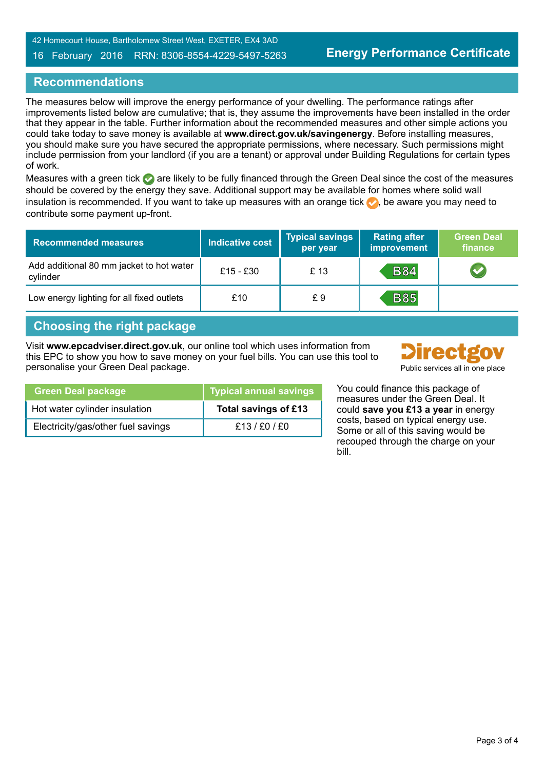#### 16 February 2016 RRN: 8306-8554-4229-5497-5263

### **Recommendations**

The measures below will improve the energy performance of your dwelling. The performance ratings after improvements listed below are cumulative; that is, they assume the improvements have been installed in the order that they appear in the table. Further information about the recommended measures and other simple actions you could take today to save money is available at **www.direct.gov.uk/savingenergy**. Before installing measures, you should make sure you have secured the appropriate permissions, where necessary. Such permissions might include permission from your landlord (if you are a tenant) or approval under Building Regulations for certain types of work.

Measures with a green tick  $\bullet$  are likely to be fully financed through the Green Deal since the cost of the measures should be covered by the energy they save. Additional support may be available for homes where solid wall insulation is recommended. If you want to take up measures with an orange tick  $\bullet$ , be aware you may need to contribute some payment up-front.

| <b>Recommended measures</b>                          | <b>Indicative cost</b> | <b>Typical savings</b><br>per year | <b>Rating after</b><br>improvement | <b>Green Deal</b><br>finance |
|------------------------------------------------------|------------------------|------------------------------------|------------------------------------|------------------------------|
| Add additional 80 mm jacket to hot water<br>cylinder | £15 - £30              | £13                                | <b>B84</b>                         |                              |
| Low energy lighting for all fixed outlets            | £10                    | £9                                 | <b>B85</b>                         |                              |

# **Choosing the right package**

Visit **www.epcadviser.direct.gov.uk**, our online tool which uses information from this EPC to show you how to save money on your fuel bills. You can use this tool to personalise your Green Deal package. Public services all in one place



| <b>Green Deal package</b>          | Typical annual savings |
|------------------------------------|------------------------|
| Hot water cylinder insulation      | Total savings of £13   |
| Electricity/gas/other fuel savings | £13/£0/£0              |

You could finance this package of measures under the Green Deal. It could **save you £13 a year** in energy costs, based on typical energy use. Some or all of this saving would be recouped through the charge on your bill.